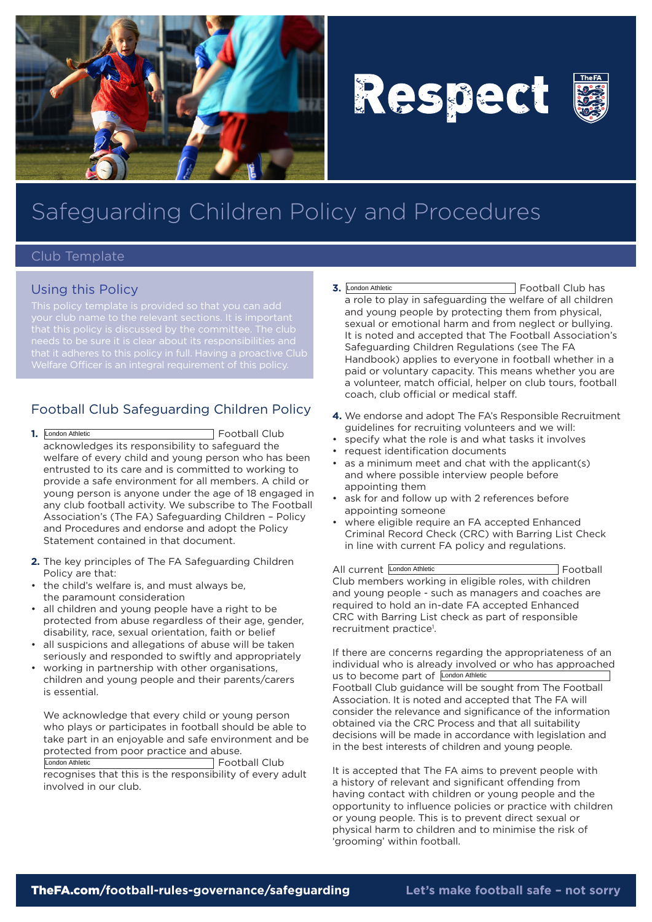

# Respect



## Safeguarding Children Policy and Procedures

#### Club Template

#### Using this Policy

that it adheres to this policy in full. Having a proactive Club

### Football Club Safeguarding Children Policy

- **1.** Football Club acknowledges its responsibility to safeguard the welfare of every child and young person who has been entrusted to its care and is committed to working to provide a safe environment for all members. A child or young person is anyone under the age of 18 engaged in any club football activity. We subscribe to The Football Association's (The FA) Safeguarding Children – Policy and Procedures and endorse and adopt the Policy Statement contained in that document. 1. London Athletic
- **2.** The key principles of The FA Safeguarding Children Policy are that:
- the child's welfare is, and must always be, the paramount consideration
- all children and young people have a right to be protected from abuse regardless of their age, gender, disability, race, sexual orientation, faith or belief
- all suspicions and allegations of abuse will be taken seriously and responded to swiftly and appropriately
- working in partnership with other organisations, children and young people and their parents/carers is essential.

We acknowledge that every child or young person who plays or participates in football should be able to take part in an enjoyable and safe environment and be protected from poor practice and abuse.

London Athletic **Executive Executive Club Executive Executive Club** recognises that this is the responsibility of every adult involved in our club.

- **3.** Football Club has a role to play in safeguarding the welfare of all children and young people by protecting them from physical, sexual or emotional harm and from neglect or bullying. It is noted and accepted that The Football Association's Safeguarding Children Regulations (see The FA Handbook) applies to everyone in football whether in a paid or voluntary capacity. This means whether you are a volunteer, match official, helper on club tours, football coach, club official or medical staff. 3. London Athletic
- **4.** We endorse and adopt The FA's Responsible Recruitment guidelines for recruiting volunteers and we will:
- • specify what the role is and what tasks it involves
- • request identification documents
- • as a minimum meet and chat with the applicant(s) and where possible interview people before appointing them
- ask for and follow up with 2 references before appointing someone
- where eligible require an FA accepted Enhanced Criminal Record Check (CRC) with Barring List Check in line with current FA policy and regulations.

All current London Athletic **Example 20** Football Club members working in eligible roles, with children and young people - such as managers and coaches are required to hold an in-date FA accepted Enhanced CRC with Barring List check as part of responsible recruitment practice<sup>1</sup>.

If there are concerns regarding the appropriateness of an individual who is already involved or who has approached us to become part of London Athletic Football Club guidance will be sought from The Football Association. It is noted and accepted that The FA will consider the relevance and significance of the information obtained via the CRC Process and that all suitability decisions will be made in accordance with legislation and in the best interests of children and young people.

It is accepted that The FA aims to prevent people with a history of relevant and significant offending from having contact with children or young people and the opportunity to influence policies or practice with children or young people. This is to prevent direct sexual or physical harm to children and to minimise the risk of 'grooming' within football.